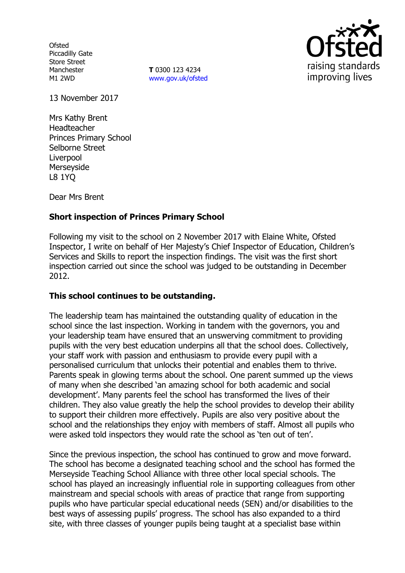**Ofsted** Piccadilly Gate Store Street Manchester M1 2WD

**T** 0300 123 4234 www.gov.uk/ofsted



13 November 2017

Mrs Kathy Brent Headteacher Princes Primary School Selborne Street **Liverpool** Merseyside L8 1YQ

Dear Mrs Brent

# **Short inspection of Princes Primary School**

Following my visit to the school on 2 November 2017 with Elaine White, Ofsted Inspector, I write on behalf of Her Majesty's Chief Inspector of Education, Children's Services and Skills to report the inspection findings. The visit was the first short inspection carried out since the school was judged to be outstanding in December 2012.

## **This school continues to be outstanding.**

The leadership team has maintained the outstanding quality of education in the school since the last inspection. Working in tandem with the governors, you and your leadership team have ensured that an unswerving commitment to providing pupils with the very best education underpins all that the school does. Collectively, your staff work with passion and enthusiasm to provide every pupil with a personalised curriculum that unlocks their potential and enables them to thrive. Parents speak in glowing terms about the school. One parent summed up the views of many when she described 'an amazing school for both academic and social development'. Many parents feel the school has transformed the lives of their children. They also value greatly the help the school provides to develop their ability to support their children more effectively. Pupils are also very positive about the school and the relationships they enjoy with members of staff. Almost all pupils who were asked told inspectors they would rate the school as 'ten out of ten'.

Since the previous inspection, the school has continued to grow and move forward. The school has become a designated teaching school and the school has formed the Merseyside Teaching School Alliance with three other local special schools. The school has played an increasingly influential role in supporting colleagues from other mainstream and special schools with areas of practice that range from supporting pupils who have particular special educational needs (SEN) and/or disabilities to the best ways of assessing pupils' progress. The school has also expanded to a third site, with three classes of younger pupils being taught at a specialist base within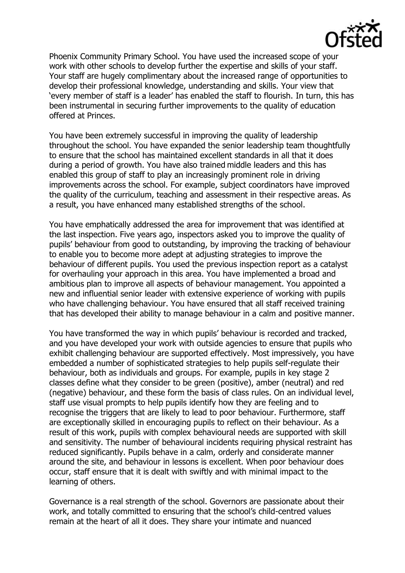

Phoenix Community Primary School. You have used the increased scope of your work with other schools to develop further the expertise and skills of your staff. Your staff are hugely complimentary about the increased range of opportunities to develop their professional knowledge, understanding and skills. Your view that 'every member of staff is a leader' has enabled the staff to flourish. In turn, this has been instrumental in securing further improvements to the quality of education offered at Princes.

You have been extremely successful in improving the quality of leadership throughout the school. You have expanded the senior leadership team thoughtfully to ensure that the school has maintained excellent standards in all that it does during a period of growth. You have also trained middle leaders and this has enabled this group of staff to play an increasingly prominent role in driving improvements across the school. For example, subject coordinators have improved the quality of the curriculum, teaching and assessment in their respective areas. As a result, you have enhanced many established strengths of the school.

You have emphatically addressed the area for improvement that was identified at the last inspection. Five years ago, inspectors asked you to improve the quality of pupils' behaviour from good to outstanding, by improving the tracking of behaviour to enable you to become more adept at adjusting strategies to improve the behaviour of different pupils. You used the previous inspection report as a catalyst for overhauling your approach in this area. You have implemented a broad and ambitious plan to improve all aspects of behaviour management. You appointed a new and influential senior leader with extensive experience of working with pupils who have challenging behaviour. You have ensured that all staff received training that has developed their ability to manage behaviour in a calm and positive manner.

You have transformed the way in which pupils' behaviour is recorded and tracked, and you have developed your work with outside agencies to ensure that pupils who exhibit challenging behaviour are supported effectively. Most impressively, you have embedded a number of sophisticated strategies to help pupils self-regulate their behaviour, both as individuals and groups. For example, pupils in key stage 2 classes define what they consider to be green (positive), amber (neutral) and red (negative) behaviour, and these form the basis of class rules. On an individual level, staff use visual prompts to help pupils identify how they are feeling and to recognise the triggers that are likely to lead to poor behaviour. Furthermore, staff are exceptionally skilled in encouraging pupils to reflect on their behaviour. As a result of this work, pupils with complex behavioural needs are supported with skill and sensitivity. The number of behavioural incidents requiring physical restraint has reduced significantly. Pupils behave in a calm, orderly and considerate manner around the site, and behaviour in lessons is excellent. When poor behaviour does occur, staff ensure that it is dealt with swiftly and with minimal impact to the learning of others.

Governance is a real strength of the school. Governors are passionate about their work, and totally committed to ensuring that the school's child-centred values remain at the heart of all it does. They share your intimate and nuanced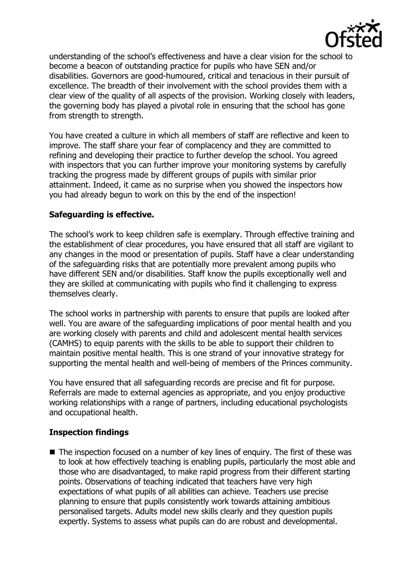

understanding of the school's effectiveness and have a clear vision for the school to become a beacon of outstanding practice for pupils who have SEN and/or disabilities. Governors are good-humoured, critical and tenacious in their pursuit of excellence. The breadth of their involvement with the school provides them with a clear view of the quality of all aspects of the provision. Working closely with leaders, the governing body has played a pivotal role in ensuring that the school has gone from strength to strength.

You have created a culture in which all members of staff are reflective and keen to improve. The staff share your fear of complacency and they are committed to refining and developing their practice to further develop the school. You agreed with inspectors that you can further improve your monitoring systems by carefully tracking the progress made by different groups of pupils with similar prior attainment. Indeed, it came as no surprise when you showed the inspectors how you had already begun to work on this by the end of the inspection!

# **Safeguarding is effective.**

The school's work to keep children safe is exemplary. Through effective training and the establishment of clear procedures, you have ensured that all staff are vigilant to any changes in the mood or presentation of pupils. Staff have a clear understanding of the safeguarding risks that are potentially more prevalent among pupils who have different SEN and/or disabilities. Staff know the pupils exceptionally well and they are skilled at communicating with pupils who find it challenging to express themselves clearly.

The school works in partnership with parents to ensure that pupils are looked after well. You are aware of the safeguarding implications of poor mental health and you are working closely with parents and child and adolescent mental health services (CAMHS) to equip parents with the skills to be able to support their children to maintain positive mental health. This is one strand of your innovative strategy for supporting the mental health and well-being of members of the Princes community.

You have ensured that all safeguarding records are precise and fit for purpose. Referrals are made to external agencies as appropriate, and you enjoy productive working relationships with a range of partners, including educational psychologists and occupational health.

## **Inspection findings**

 $\blacksquare$  The inspection focused on a number of key lines of enquiry. The first of these was to look at how effectively teaching is enabling pupils, particularly the most able and those who are disadvantaged, to make rapid progress from their different starting points. Observations of teaching indicated that teachers have very high expectations of what pupils of all abilities can achieve. Teachers use precise planning to ensure that pupils consistently work towards attaining ambitious personalised targets. Adults model new skills clearly and they question pupils expertly. Systems to assess what pupils can do are robust and developmental.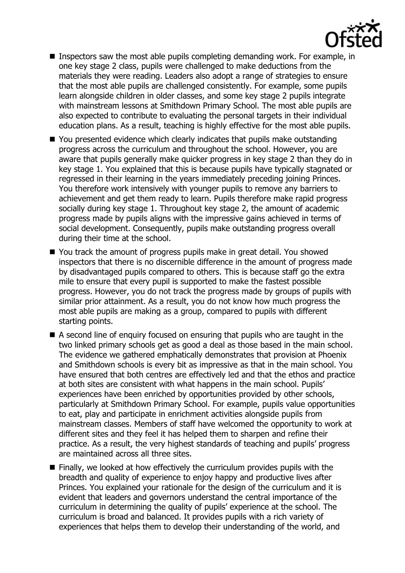

- **Inspectors saw the most able pupils completing demanding work. For example, in** one key stage 2 class, pupils were challenged to make deductions from the materials they were reading. Leaders also adopt a range of strategies to ensure that the most able pupils are challenged consistently. For example, some pupils learn alongside children in older classes, and some key stage 2 pupils integrate with mainstream lessons at Smithdown Primary School. The most able pupils are also expected to contribute to evaluating the personal targets in their individual education plans. As a result, teaching is highly effective for the most able pupils.
- You presented evidence which clearly indicates that pupils make outstanding progress across the curriculum and throughout the school. However, you are aware that pupils generally make quicker progress in key stage 2 than they do in key stage 1. You explained that this is because pupils have typically stagnated or regressed in their learning in the years immediately preceding joining Princes. You therefore work intensively with younger pupils to remove any barriers to achievement and get them ready to learn. Pupils therefore make rapid progress socially during key stage 1. Throughout key stage 2, the amount of academic progress made by pupils aligns with the impressive gains achieved in terms of social development. Consequently, pupils make outstanding progress overall during their time at the school.
- You track the amount of progress pupils make in great detail. You showed inspectors that there is no discernible difference in the amount of progress made by disadvantaged pupils compared to others. This is because staff go the extra mile to ensure that every pupil is supported to make the fastest possible progress. However, you do not track the progress made by groups of pupils with similar prior attainment. As a result, you do not know how much progress the most able pupils are making as a group, compared to pupils with different starting points.
- A second line of enquiry focused on ensuring that pupils who are taught in the two linked primary schools get as good a deal as those based in the main school. The evidence we gathered emphatically demonstrates that provision at Phoenix and Smithdown schools is every bit as impressive as that in the main school. You have ensured that both centres are effectively led and that the ethos and practice at both sites are consistent with what happens in the main school. Pupils' experiences have been enriched by opportunities provided by other schools, particularly at Smithdown Primary School. For example, pupils value opportunities to eat, play and participate in enrichment activities alongside pupils from mainstream classes. Members of staff have welcomed the opportunity to work at different sites and they feel it has helped them to sharpen and refine their practice. As a result, the very highest standards of teaching and pupils' progress are maintained across all three sites.
- $\blacksquare$  Finally, we looked at how effectively the curriculum provides pupils with the breadth and quality of experience to enjoy happy and productive lives after Princes. You explained your rationale for the design of the curriculum and it is evident that leaders and governors understand the central importance of the curriculum in determining the quality of pupils' experience at the school. The curriculum is broad and balanced. It provides pupils with a rich variety of experiences that helps them to develop their understanding of the world, and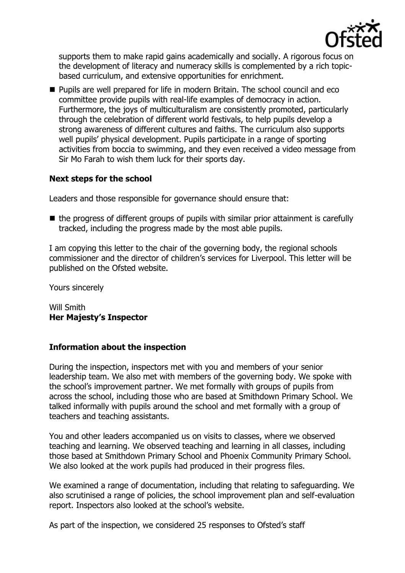

supports them to make rapid gains academically and socially. A rigorous focus on the development of literacy and numeracy skills is complemented by a rich topicbased curriculum, and extensive opportunities for enrichment.

**Pupils are well prepared for life in modern Britain. The school council and eco** committee provide pupils with real-life examples of democracy in action. Furthermore, the joys of multiculturalism are consistently promoted, particularly through the celebration of different world festivals, to help pupils develop a strong awareness of different cultures and faiths. The curriculum also supports well pupils' physical development. Pupils participate in a range of sporting activities from boccia to swimming, and they even received a video message from Sir Mo Farah to wish them luck for their sports day.

# **Next steps for the school**

Leaders and those responsible for governance should ensure that:

 $\blacksquare$  the progress of different groups of pupils with similar prior attainment is carefully tracked, including the progress made by the most able pupils.

I am copying this letter to the chair of the governing body, the regional schools commissioner and the director of children's services for Liverpool. This letter will be published on the Ofsted website.

Yours sincerely

Will Smith **Her Majesty's Inspector**

## **Information about the inspection**

During the inspection, inspectors met with you and members of your senior leadership team. We also met with members of the governing body. We spoke with the school's improvement partner. We met formally with groups of pupils from across the school, including those who are based at Smithdown Primary School. We talked informally with pupils around the school and met formally with a group of teachers and teaching assistants.

You and other leaders accompanied us on visits to classes, where we observed teaching and learning. We observed teaching and learning in all classes, including those based at Smithdown Primary School and Phoenix Community Primary School. We also looked at the work pupils had produced in their progress files.

We examined a range of documentation, including that relating to safeguarding. We also scrutinised a range of policies, the school improvement plan and self-evaluation report. Inspectors also looked at the school's website.

As part of the inspection, we considered 25 responses to Ofsted's staff